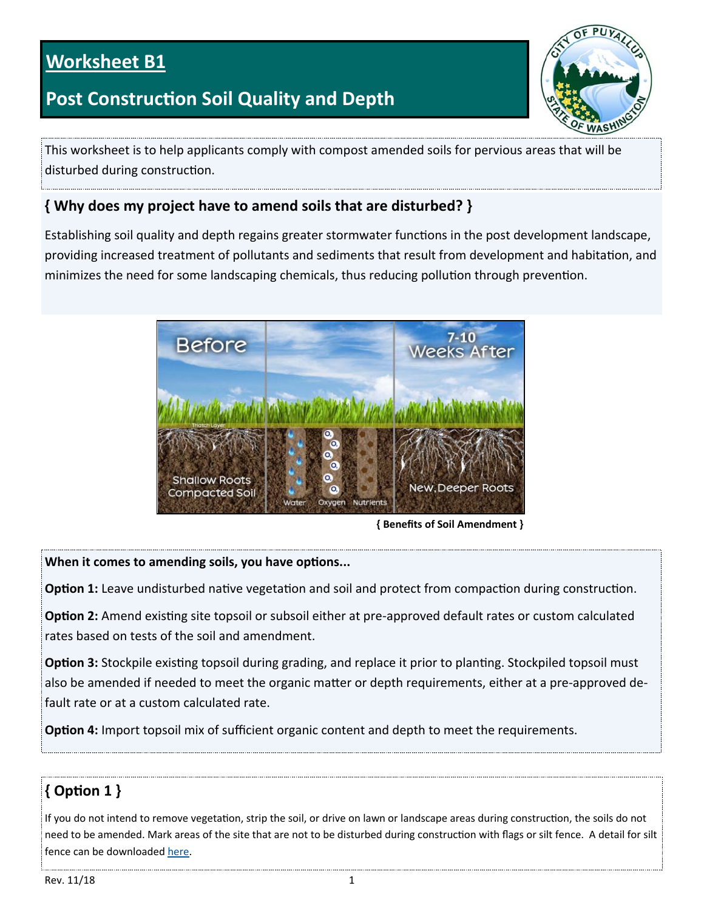## **Worksheet B1**

## **Post Construction Soil Quality and Depth**



This worksheet is to help applicants comply with compost amended soils for pervious areas that will be disturbed during construction.

#### **{ Why does my project have to amend soils that are disturbed? }**

Establishing soil quality and depth regains greater stormwater functions in the post development landscape, providing increased treatment of pollutants and sediments that result from development and habitation, and minimizes the need for some landscaping chemicals, thus reducing pollution through prevention.



**{ Benefits of Soil Amendment }** 

#### **When it comes to amending soils, you have options...**

Option 1: Leave undisturbed native vegetation and soil and protect from compaction during construction.

**Option 2:** Amend existing site topsoil or subsoil either at pre-approved default rates or custom calculated rates based on tests of the soil and amendment.

**Option 3:** Stockpile existing topsoil during grading, and replace it prior to planting. Stockpiled topsoil must also be amended if needed to meet the organic matter or depth requirements, either at a pre-approved default rate or at a custom calculated rate.

**Option 4:** Import topsoil mix of sufficient organic content and depth to meet the requirements.

## **{ OpƟon 1 }**

If you do not intend to remove vegetation, strip the soil, or drive on lawn or landscape areas during construction, the soils do not need to be amended. Mark areas of the site that are not to be disturbed during construction with flags or silt fence. A detail for silt fence can be downloaded here.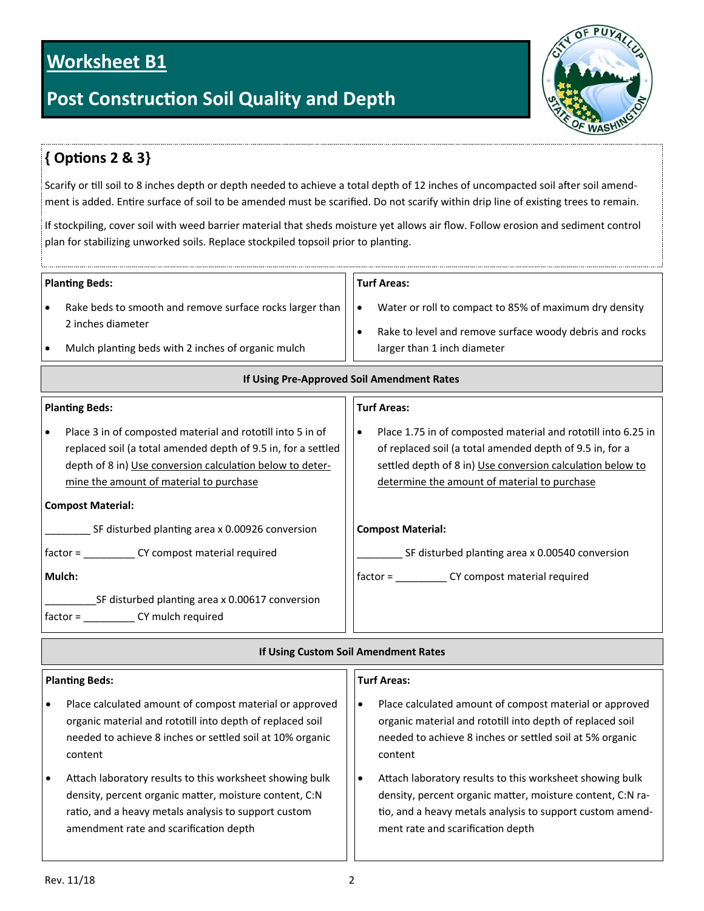## **Worksheet B1**

## **Post Construction Soil Quality and Depth**



## **{ OpƟons 2 & 3}**

Scarify or till soil to 8 inches depth or depth needed to achieve a total depth of 12 inches of uncompacted soil after soil amendment is added. Entire surface of soil to be amended must be scarified. Do not scarify within drip line of existing trees to remain.

If stockpiling, cover soil with weed barrier material that sheds moisture yet allows air flow. Follow erosion and sediment control plan for stabilizing unworked soils. Replace stockpiled topsoil prior to planting.

| <b>Planting Beds:</b><br>Rake beds to smooth and remove surface rocks larger than<br>$\bullet$<br>2 inches diameter<br>Mulch planting beds with 2 inches of organic mulch<br>$\bullet$                                                                          | <b>Turf Areas:</b><br>Water or roll to compact to 85% of maximum dry density<br>$\bullet$<br>Rake to level and remove surface woody debris and rocks<br>$\bullet$<br>larger than 1 inch diameter                                             |  |  |  |
|-----------------------------------------------------------------------------------------------------------------------------------------------------------------------------------------------------------------------------------------------------------------|----------------------------------------------------------------------------------------------------------------------------------------------------------------------------------------------------------------------------------------------|--|--|--|
| If Using Pre-Approved Soil Amendment Rates                                                                                                                                                                                                                      |                                                                                                                                                                                                                                              |  |  |  |
| <b>Planting Beds:</b>                                                                                                                                                                                                                                           | <b>Turf Areas:</b>                                                                                                                                                                                                                           |  |  |  |
| Place 3 in of composted material and rototill into 5 in of<br>replaced soil (a total amended depth of 9.5 in, for a settled<br>depth of 8 in) Use conversion calculation below to deter-<br>mine the amount of material to purchase<br><b>Compost Material:</b> | Place 1.75 in of composted material and rototill into 6.25 in<br>٠<br>of replaced soil (a total amended depth of 9.5 in, for a<br>settled depth of 8 in) Use conversion calculation below to<br>determine the amount of material to purchase |  |  |  |
| SF disturbed planting area x 0.00926 conversion                                                                                                                                                                                                                 | <b>Compost Material:</b>                                                                                                                                                                                                                     |  |  |  |
| factor = ________________ CY compost material required<br>Mulch:                                                                                                                                                                                                | SF disturbed planting area x 0.00540 conversion<br>factor = ________________ CY compost material required                                                                                                                                    |  |  |  |
| SF disturbed planting area x 0.00617 conversion<br>factor = _______________ CY mulch required                                                                                                                                                                   |                                                                                                                                                                                                                                              |  |  |  |
| If Using Custom Soil Amendment Rates                                                                                                                                                                                                                            |                                                                                                                                                                                                                                              |  |  |  |

#### **Planting Beds:**  Place calculated amount of compost material or approved organic material and rototill into depth of replaced soil needed to achieve 8 inches or settled soil at 10% organic content Attach laboratory results to this worksheet showing bulk density, percent organic matter, moisture content, C:N ratio, and a heavy metals analysis to support custom amendment rate and scarification depth **Turf Areas:**  Place calculated amount of compost material or approved organic material and rototill into depth of replaced soil needed to achieve 8 inches or settled soil at 5% organic content • Attach laboratory results to this worksheet showing bulk density, percent organic matter, moisture content, C:N ratio, and a heavy metals analysis to support custom amendment rate and scarification depth